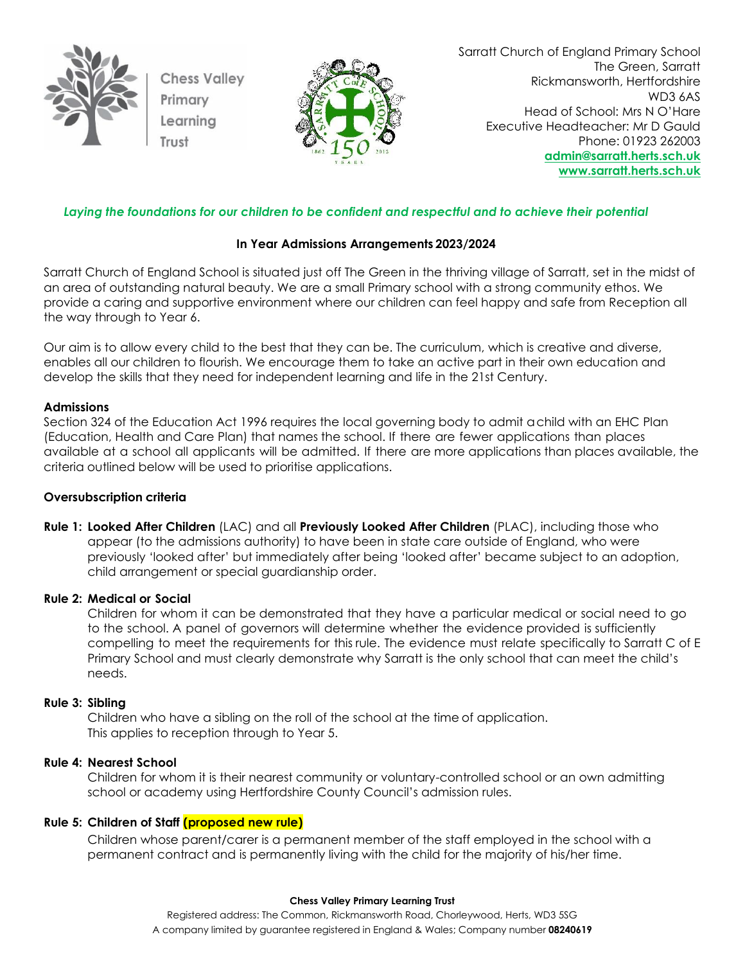

**Chess Valley** Primary Learning



Sarratt Church of England Primary School The Green, Sarratt Rickmansworth, Hertfordshire WD3 6AS Head of School: Mrs N O'Hare Executive Headteacher: Mr D Gauld Phone: 01923 262003 **[admin@sarratt.herts.sch.uk](mailto:admin@sarratt.herts.sch.uk) [www.sarratt.herts.sch.uk](http://www.sarratt.herts.sch.uk/)**

# *Laying the foundations for our children to be confident and respectful and to achieve their potential*

## **In Year Admissions Arrangements 2023/2024**

Sarratt Church of England School is situated just off The Green in the thriving village of Sarratt, set in the midst of an area of outstanding natural beauty. We are a small Primary school with a strong community ethos. We provide a caring and supportive environment where our children can feel happy and safe from Reception all the way through to Year 6.

Our aim is to allow every child to the best that they can be. The curriculum, which is creative and diverse, enables all our children to flourish. We encourage them to take an active part in their own education and develop the skills that they need for independent learning and life in the 21st Century.

### **Admissions**

Section 324 of the Education Act 1996 requires the local governing body to admit achild with an EHC Plan (Education, Health and Care Plan) that names the school. If there are fewer applications than places available at a school all applicants will be admitted. If there are more applications than places available, the criteria outlined below will be used to prioritise applications.

### **Oversubscription criteria**

**Rule 1: Looked After Children** (LAC) and all **Previously Looked After Children** (PLAC), including those who appear (to the admissions authority) to have been in state care outside of England, who were previously 'looked after' but immediately after being 'looked after' became subject to an adoption, child arrangement or special guardianship order.

### **Rule 2: Medical or Social**

Children for whom it can be demonstrated that they have a particular medical or social need to go to the school. A panel of governors will determine whether the evidence provided is sufficiently compelling to meet the requirements for this rule. The evidence must relate specifically to Sarratt C of E Primary School and must clearly demonstrate why Sarratt is the only school that can meet the child's needs.

#### **Rule 3: Sibling**

Children who have a sibling on the roll of the school at the time of application. This applies to reception through to Year 5.

### **Rule 4: Nearest School**

Children for whom it is their nearest community or voluntary-controlled school or an own admitting school or academy using Hertfordshire County Council's admission rules.

### **Rule 5: Children of Staff (proposed new rule)**

Children whose parent/carer is a permanent member of the staff employed in the school with a permanent contract and is permanently living with the child for the majority of his/her time.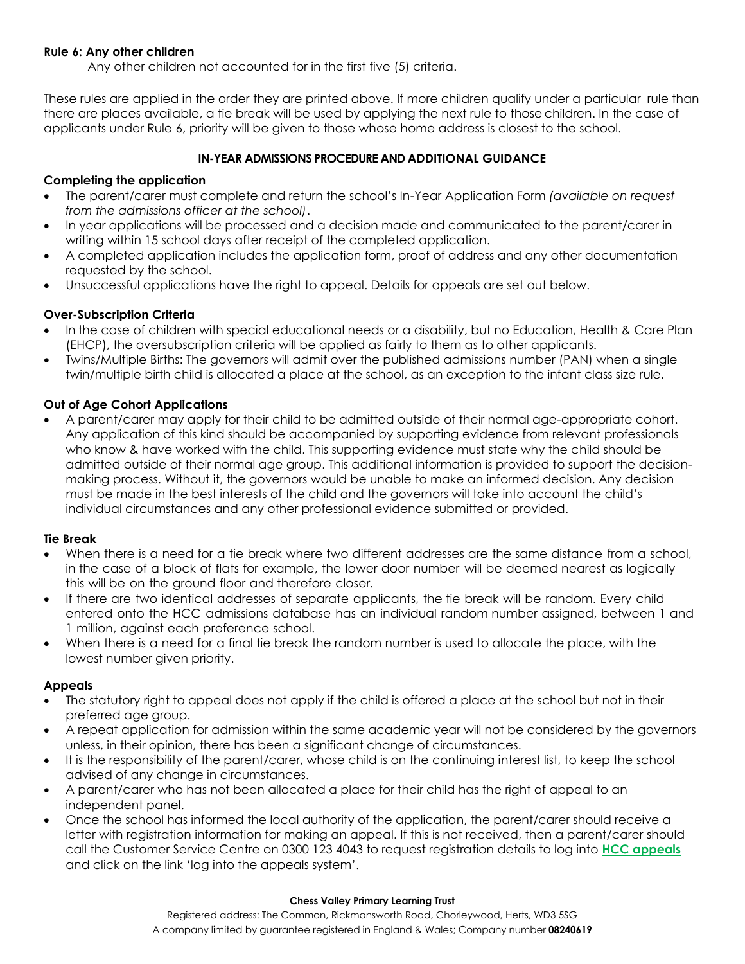### **Rule 6: Any other children**

Any other children not accounted for in the first five (5) criteria.

These rules are applied in the order they are printed above. If more children qualify under a particular rule than there are places available, a tie break will be used by applying the next rule to those children. In the case of applicants under Rule 6, priority will be given to those whose home address is closest to the school.

## **IN-YEAR ADMISSIONS PROCEDURE AND ADDITIONAL GUIDANCE**

## **Completing the application**

- The parent/carer must complete and return the school's In-Year Application Form *(available on request from the admissions officer at the school)*.
- In year applications will be processed and a decision made and communicated to the parent/carer in writing within 15 school days after receipt of the completed application.
- A completed application includes the application form, proof of address and any other documentation requested by the school.
- Unsuccessful applications have the right to appeal. Details for appeals are set out below.

# **Over-Subscription Criteria**

- In the case of children with special educational needs or a disability, but no Education, Health & Care Plan (EHCP), the oversubscription criteria will be applied as fairly to them as to other applicants.
- Twins/Multiple Births: The governors will admit over the published admissions number (PAN) when a single twin/multiple birth child is allocated a place at the school, as an exception to the infant class size rule.

## **Out of Age Cohort Applications**

• A parent/carer may apply for their child to be admitted outside of their normal age-appropriate cohort. Any application of this kind should be accompanied by supporting evidence from relevant professionals who know & have worked with the child. This supporting evidence must state why the child should be admitted outside of their normal age group. This additional information is provided to support the decisionmaking process. Without it, the governors would be unable to make an informed decision. Any decision must be made in the best interests of the child and the governors will take into account the child's individual circumstances and any other professional evidence submitted or provided.

### **Tie Break**

- When there is a need for a tie break where two different addresses are the same distance from a school, in the case of a block of flats for example, the lower door number will be deemed nearest as logically this will be on the ground floor and therefore closer.
- If there are two identical addresses of separate applicants, the tie break will be random. Every child entered onto the HCC admissions database has an individual random number assigned, between 1 and 1 million, against each preference school.
- When there is a need for a final tie break the random number is used to allocate the place, with the lowest number given priority.

### **Appeals**

- The statutory right to appeal does not apply if the child is offered a place at the school but not in their preferred age group.
- A repeat application for admission within the same academic year will not be considered by the governors unless, in their opinion, there has been a significant change of circumstances.
- It is the responsibility of the parent/carer, whose child is on the continuing interest list, to keep the school advised of any change in circumstances.
- A parent/carer who has not been allocated a place for their child has the right of appeal to an independent panel.
- Once the school has informed the local authority of the application, the parent/carer should receive a letter with registration information for making an appeal. If this is not received, then a parent/carer should call the Customer Service Centre on 0300 123 4043 to request registration details to log into **[HCC appeals](http://www.hertfordshire.gov.uk/schoolappeals)** and click on the link 'log into the appeals system'.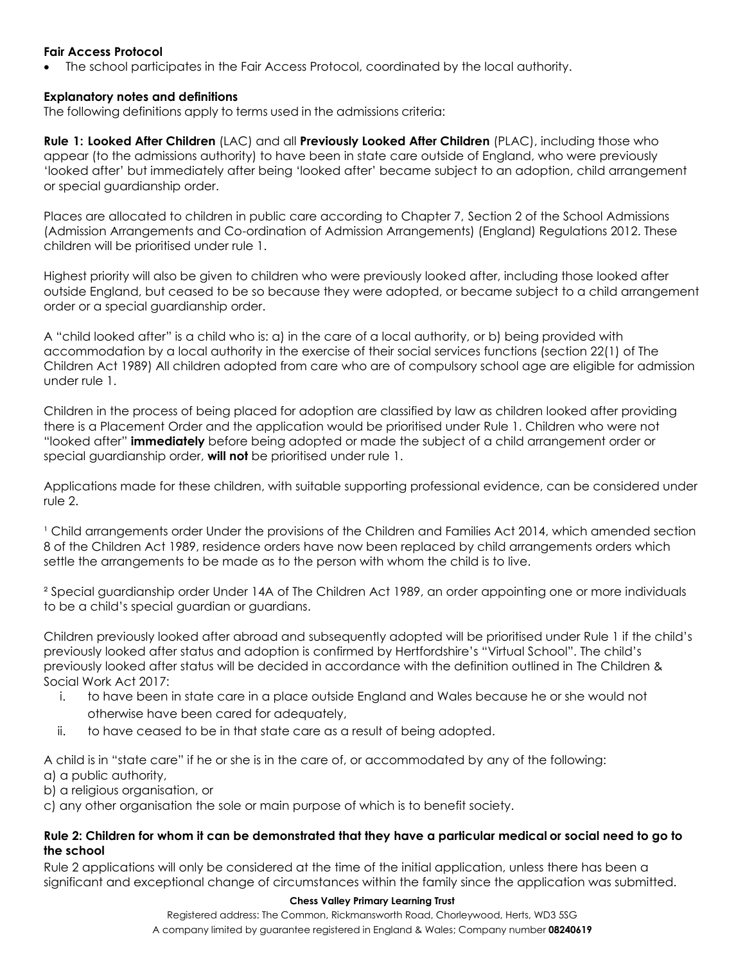### **Fair Access Protocol**

• The school participates in the Fair Access Protocol, coordinated by the local authority.

## **Explanatory notes and definitions**

The following definitions apply to terms used in the admissions criteria:

**Rule 1: Looked After Children** (LAC) and all **Previously Looked After Children** (PLAC), including those who appear (to the admissions authority) to have been in state care outside of England, who were previously 'looked after' but immediately after being 'looked after' became subject to an adoption, child arrangement or special guardianship order.

Places are allocated to children in public care according to Chapter 7, Section 2 of the School Admissions (Admission Arrangements and Co-ordination of Admission Arrangements) (England) Regulations 2012. These children will be prioritised under rule 1.

Highest priority will also be given to children who were previously looked after, including those looked after outside England, but ceased to be so because they were adopted, or became subject to a child arrangement order or a special guardianship order.

A "child looked after" is a child who is: a) in the care of a local authority, or b) being provided with accommodation by a local authority in the exercise of their social services functions (section 22(1) of The Children Act 1989) All children adopted from care who are of compulsory school age are eligible for admission under rule 1.

Children in the process of being placed for adoption are classified by law as children looked after providing there is a Placement Order and the application would be prioritised under Rule 1. Children who were not "looked after" **immediately** before being adopted or made the subject of a child arrangement order or special guardianship order, **will not** be prioritised under rule 1.

Applications made for these children, with suitable supporting professional evidence, can be considered under rule 2.

<sup>1</sup> Child arrangements order Under the provisions of the Children and Families Act 2014, which amended section 8 of the Children Act 1989, residence orders have now been replaced by child arrangements orders which settle the arrangements to be made as to the person with whom the child is to live.

² Special guardianship order Under 14A of The Children Act 1989, an order appointing one or more individuals to be a child's special guardian or guardians.

Children previously looked after abroad and subsequently adopted will be prioritised under Rule 1 if the child's previously looked after status and adoption is confirmed by Hertfordshire's "Virtual School". The child's previously looked after status will be decided in accordance with the definition outlined in The Children & Social Work Act 2017:

- i. to have been in state care in a place outside England and Wales because he or she would not otherwise have been cared for adequately,
- ii. to have ceased to be in that state care as a result of being adopted.

A child is in "state care" if he or she is in the care of, or accommodated by any of the following: a) a public authority,

b) a religious organisation, or

c) any other organisation the sole or main purpose of which is to benefit society.

### **Rule 2: Children for whom it can be demonstrated that they have a particular medical or social need to go to the school**

Rule 2 applications will only be considered at the time of the initial application, unless there has been a significant and exceptional change of circumstances within the family since the application was submitted.

#### **Chess Valley Primary Learning Trust**

Registered address: The Common, Rickmansworth Road, Chorleywood, Herts, WD3 5SG A company limited by guarantee registered in England & Wales; Company number **08240619**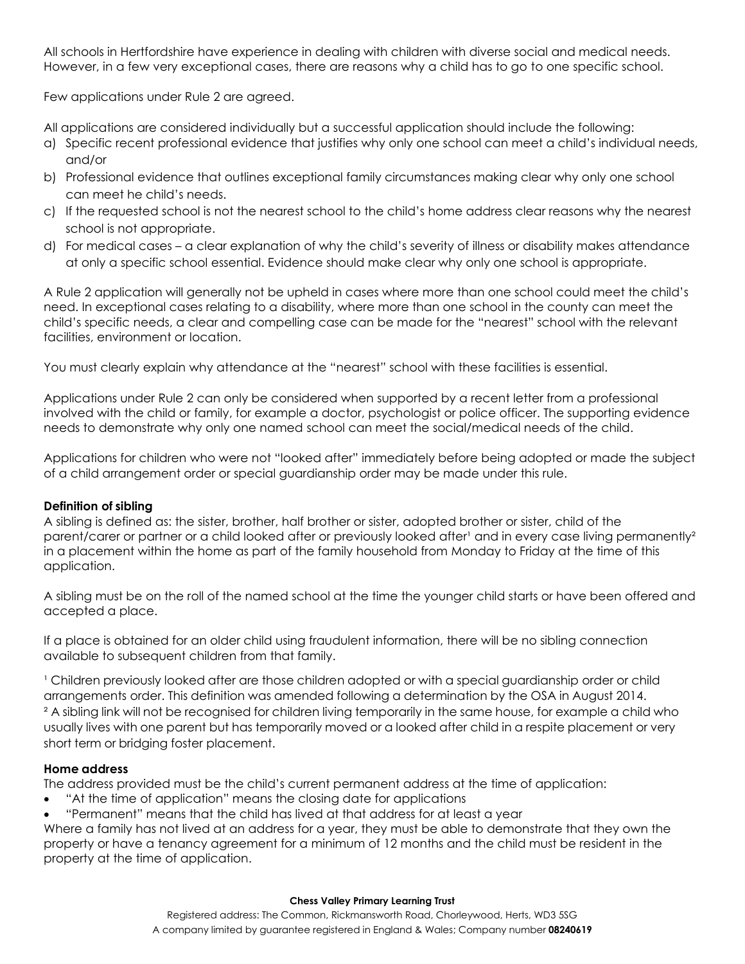All schools in Hertfordshire have experience in dealing with children with diverse social and medical needs. However, in a few very exceptional cases, there are reasons why a child has to go to one specific school.

Few applications under Rule 2 are agreed.

All applications are considered individually but a successful application should include the following:

- a) Specific recent professional evidence that justifies why only one school can meet a child's individual needs, and/or
- b) Professional evidence that outlines exceptional family circumstances making clear why only one school can meet he child's needs.
- c) If the requested school is not the nearest school to the child's home address clear reasons why the nearest school is not appropriate.
- d) For medical cases a clear explanation of why the child's severity of illness or disability makes attendance at only a specific school essential. Evidence should make clear why only one school is appropriate.

A Rule 2 application will generally not be upheld in cases where more than one school could meet the child's need. In exceptional cases relating to a disability, where more than one school in the county can meet the child's specific needs, a clear and compelling case can be made for the "nearest" school with the relevant facilities, environment or location.

You must clearly explain why attendance at the "nearest" school with these facilities is essential.

Applications under Rule 2 can only be considered when supported by a recent letter from a professional involved with the child or family, for example a doctor, psychologist or police officer. The supporting evidence needs to demonstrate why only one named school can meet the social/medical needs of the child.

Applications for children who were not "looked after" immediately before being adopted or made the subject of a child arrangement order or special guardianship order may be made under this rule.

# **Definition of sibling**

A sibling is defined as: the sister, brother, half brother or sister, adopted brother or sister, child of the parent/carer or partner or a child looked after or previously looked after' and in every case living permanently<sup>2</sup> in a placement within the home as part of the family household from Monday to Friday at the time of this application.

A sibling must be on the roll of the named school at the time the younger child starts or have been offered and accepted a place.

If a place is obtained for an older child using fraudulent information, there will be no sibling connection available to subsequent children from that family.

<sup>1</sup> Children previously looked after are those children adopted or with a special guardianship order or child arrangements order. This definition was amended following a determination by the OSA in August 2014. ² A sibling link will not be recognised for children living temporarily in the same house, for example a child who usually lives with one parent but has temporarily moved or a looked after child in a respite placement or very short term or bridging foster placement.

# **Home address**

The address provided must be the child's current permanent address at the time of application:

- "At the time of application" means the closing date for applications
- "Permanent" means that the child has lived at that address for at least a year

Where a family has not lived at an address for a year, they must be able to demonstrate that they own the property or have a tenancy agreement for a minimum of 12 months and the child must be resident in the property at the time of application.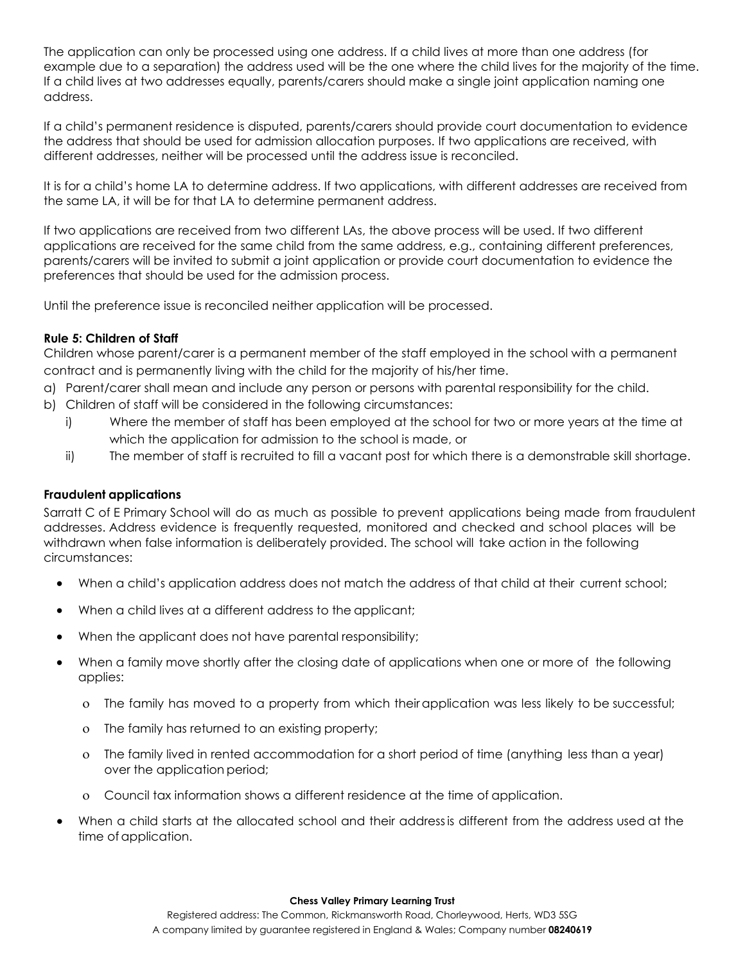The application can only be processed using one address. If a child lives at more than one address (for example due to a separation) the address used will be the one where the child lives for the majority of the time. If a child lives at two addresses equally, parents/carers should make a single joint application naming one address.

If a child's permanent residence is disputed, parents/carers should provide court documentation to evidence the address that should be used for admission allocation purposes. If two applications are received, with different addresses, neither will be processed until the address issue is reconciled.

It is for a child's home LA to determine address. If two applications, with different addresses are received from the same LA, it will be for that LA to determine permanent address.

If two applications are received from two different LAs, the above process will be used. If two different applications are received for the same child from the same address, e.g., containing different preferences, parents/carers will be invited to submit a joint application or provide court documentation to evidence the preferences that should be used for the admission process.

Until the preference issue is reconciled neither application will be processed.

## **Rule 5: Children of Staff**

Children whose parent/carer is a permanent member of the staff employed in the school with a permanent contract and is permanently living with the child for the majority of his/her time.

- a) Parent/carer shall mean and include any person or persons with parental responsibility for the child.
- b) Children of staff will be considered in the following circumstances:
	- i) Where the member of staff has been employed at the school for two or more years at the time at which the application for admission to the school is made, or
	- ii) The member of staff is recruited to fill a vacant post for which there is a demonstrable skill shortage.

# **Fraudulent applications**

Sarratt C of E Primary School will do as much as possible to prevent applications being made from fraudulent addresses. Address evidence is frequently requested, monitored and checked and school places will be withdrawn when false information is deliberately provided. The school will take action in the following circumstances:

- When a child's application address does not match the address of that child at their current school;
- When a child lives at a different address to the applicant;
- When the applicant does not have parental responsibility;
- When a family move shortly after the closing date of applications when one or more of the following applies:
	- The family has moved to a property from which theirapplication was less likely to be successful;
	- The family has returned to an existing property;
	- The family lived in rented accommodation for a short period of time (anything less than a year) over the application period;
	- Council tax information shows a different residence at the time of application.
- When a child starts at the allocated school and their addressis different from the address used at the time of application.